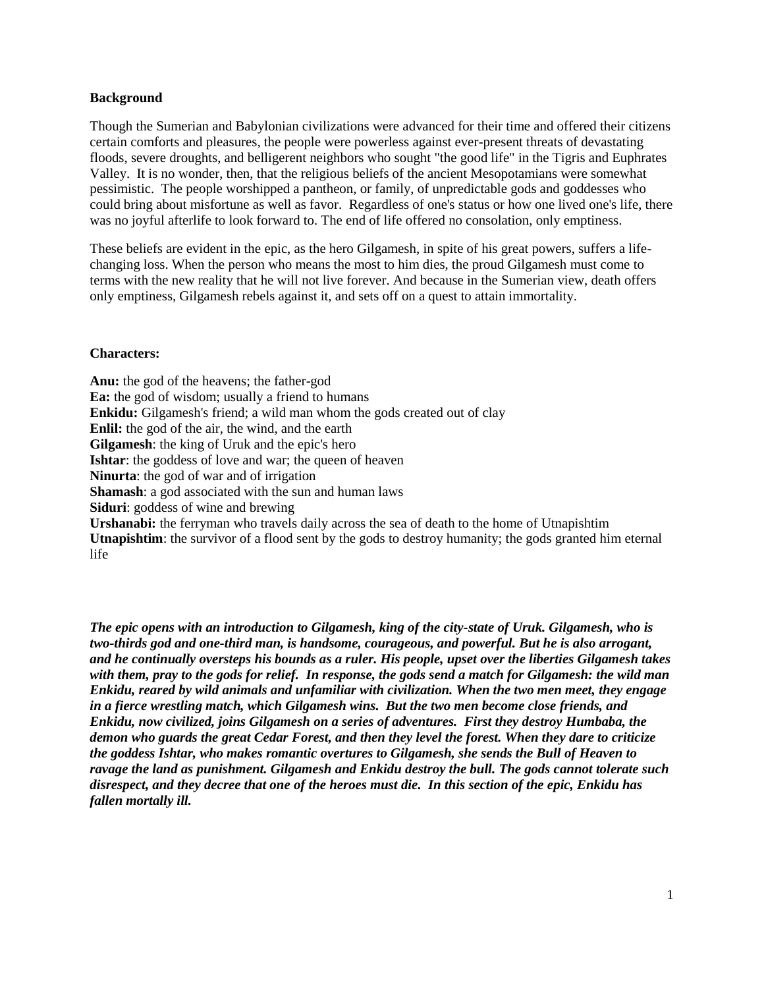### **Background**

Though the Sumerian and Babylonian civilizations were advanced for their time and offered their citizens certain comforts and pleasures, the people were powerless against ever-present threats of devastating floods, severe droughts, and belligerent neighbors who sought "the good life" in the Tigris and Euphrates Valley. It is no wonder, then, that the religious beliefs of the ancient Mesopotamians were somewhat pessimistic. The people worshipped a pantheon, or family, of unpredictable gods and goddesses who could bring about misfortune as well as favor. Regardless of one's status or how one lived one's life, there was no joyful afterlife to look forward to. The end of life offered no consolation, only emptiness.

These beliefs are evident in the epic, as the hero Gilgamesh, in spite of his great powers, suffers a lifechanging loss. When the person who means the most to him dies, the proud Gilgamesh must come to terms with the new reality that he will not live forever. And because in the Sumerian view, death offers only emptiness, Gilgamesh rebels against it, and sets off on a quest to attain immortality.

### **Characters:**

**Anu:** the god of the heavens; the father-god **Ea:** the god of wisdom; usually a friend to humans **Enkidu:** Gilgamesh's friend; a wild man whom the gods created out of clay **Enlil:** the god of the air, the wind, and the earth **Gilgamesh**: the king of Uruk and the epic's hero **Ishtar:** the goddess of love and war; the queen of heaven **Ninurta**: the god of war and of irrigation **Shamash**: a god associated with the sun and human laws **Siduri**: goddess of wine and brewing **Urshanabi:** the ferryman who travels daily across the sea of death to the home of Utnapishtim **Utnapishtim**: the survivor of a flood sent by the gods to destroy humanity; the gods granted him eternal life

*The epic opens with an introduction to Gilgamesh, king of the city-state of Uruk. Gilgamesh, who is two-thirds god and one-third man, is handsome, courageous, and powerful. But he is also arrogant, and he continually oversteps his bounds as a ruler. His people, upset over the liberties Gilgamesh takes with them, pray to the gods for relief. In response, the gods send a match for Gilgamesh: the wild man Enkidu, reared by wild animals and unfamiliar with civilization. When the two men meet, they engage in a fierce wrestling match, which Gilgamesh wins. But the two men become close friends, and Enkidu, now civilized, joins Gilgamesh on a series of adventures. First they destroy Humbaba, the demon who guards the great Cedar Forest, and then they level the forest. When they dare to criticize the goddess Ishtar, who makes romantic overtures to Gilgamesh, she sends the Bull of Heaven to ravage the land as punishment. Gilgamesh and Enkidu destroy the bull. The gods cannot tolerate such disrespect, and they decree that one of the heroes must die. In this section of the epic, Enkidu has fallen mortally ill.*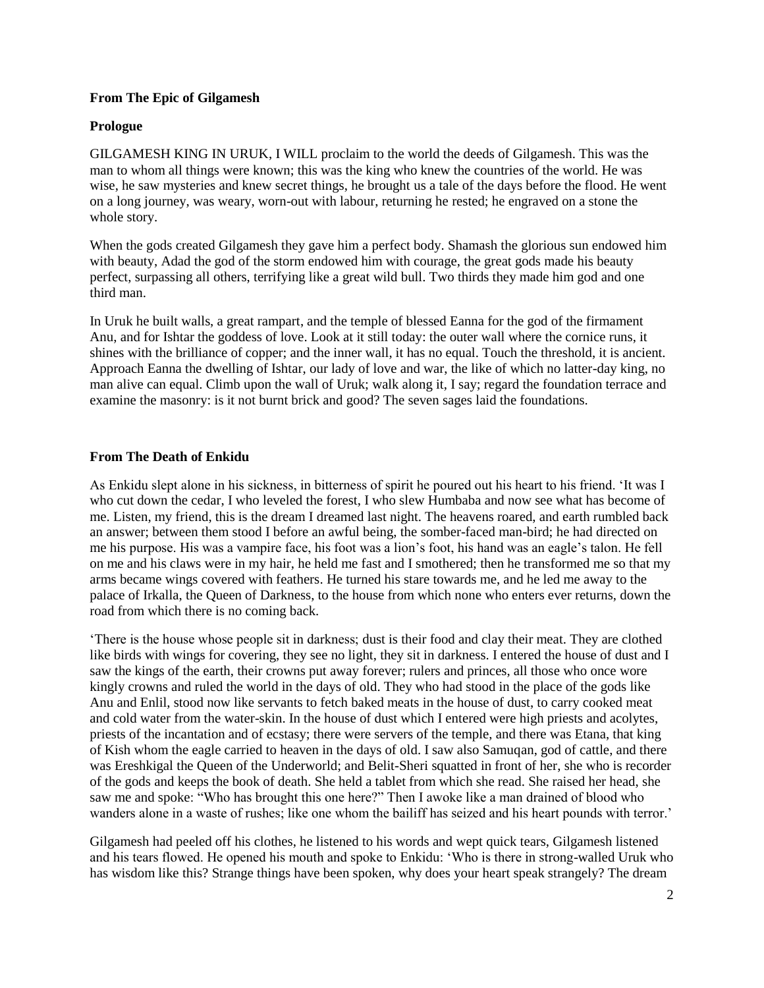### **From The Epic of Gilgamesh**

### **Prologue**

GILGAMESH KING IN URUK, I WILL proclaim to the world the deeds of Gilgamesh. This was the man to whom all things were known; this was the king who knew the countries of the world. He was wise, he saw mysteries and knew secret things, he brought us a tale of the days before the flood. He went on a long journey, was weary, worn-out with labour, returning he rested; he engraved on a stone the whole story.

When the gods created Gilgamesh they gave him a perfect body. Shamash the glorious sun endowed him with beauty, Adad the god of the storm endowed him with courage, the great gods made his beauty perfect, surpassing all others, terrifying like a great wild bull. Two thirds they made him god and one third man.

In Uruk he built walls, a great rampart, and the temple of blessed Eanna for the god of the firmament Anu, and for Ishtar the goddess of love. Look at it still today: the outer wall where the cornice runs, it shines with the brilliance of copper; and the inner wall, it has no equal. Touch the threshold, it is ancient. Approach Eanna the dwelling of Ishtar, our lady of love and war, the like of which no latter-day king, no man alive can equal. Climb upon the wall of Uruk; walk along it, I say; regard the foundation terrace and examine the masonry: is it not burnt brick and good? The seven sages laid the foundations.

### **From The Death of Enkidu**

As Enkidu slept alone in his sickness, in bitterness of spirit he poured out his heart to his friend. 'It was I who cut down the cedar, I who leveled the forest, I who slew Humbaba and now see what has become of me. Listen, my friend, this is the dream I dreamed last night. The heavens roared, and earth rumbled back an answer; between them stood I before an awful being, the somber-faced man-bird; he had directed on me his purpose. His was a vampire face, his foot was a lion's foot, his hand was an eagle's talon. He fell on me and his claws were in my hair, he held me fast and I smothered; then he transformed me so that my arms became wings covered with feathers. He turned his stare towards me, and he led me away to the palace of Irkalla, the Queen of Darkness, to the house from which none who enters ever returns, down the road from which there is no coming back.

'There is the house whose people sit in darkness; dust is their food and clay their meat. They are clothed like birds with wings for covering, they see no light, they sit in darkness. I entered the house of dust and I saw the kings of the earth, their crowns put away forever; rulers and princes, all those who once wore kingly crowns and ruled the world in the days of old. They who had stood in the place of the gods like Anu and Enlil, stood now like servants to fetch baked meats in the house of dust, to carry cooked meat and cold water from the water-skin. In the house of dust which I entered were high priests and acolytes, priests of the incantation and of ecstasy; there were servers of the temple, and there was Etana, that king of Kish whom the eagle carried to heaven in the days of old. I saw also Samuqan, god of cattle, and there was Ereshkigal the Queen of the Underworld; and Belit-Sheri squatted in front of her, she who is recorder of the gods and keeps the book of death. She held a tablet from which she read. She raised her head, she saw me and spoke: "Who has brought this one here?" Then I awoke like a man drained of blood who wanders alone in a waste of rushes; like one whom the bailiff has seized and his heart pounds with terror.'

Gilgamesh had peeled off his clothes, he listened to his words and wept quick tears, Gilgamesh listened and his tears flowed. He opened his mouth and spoke to Enkidu: 'Who is there in strong-walled Uruk who has wisdom like this? Strange things have been spoken, why does your heart speak strangely? The dream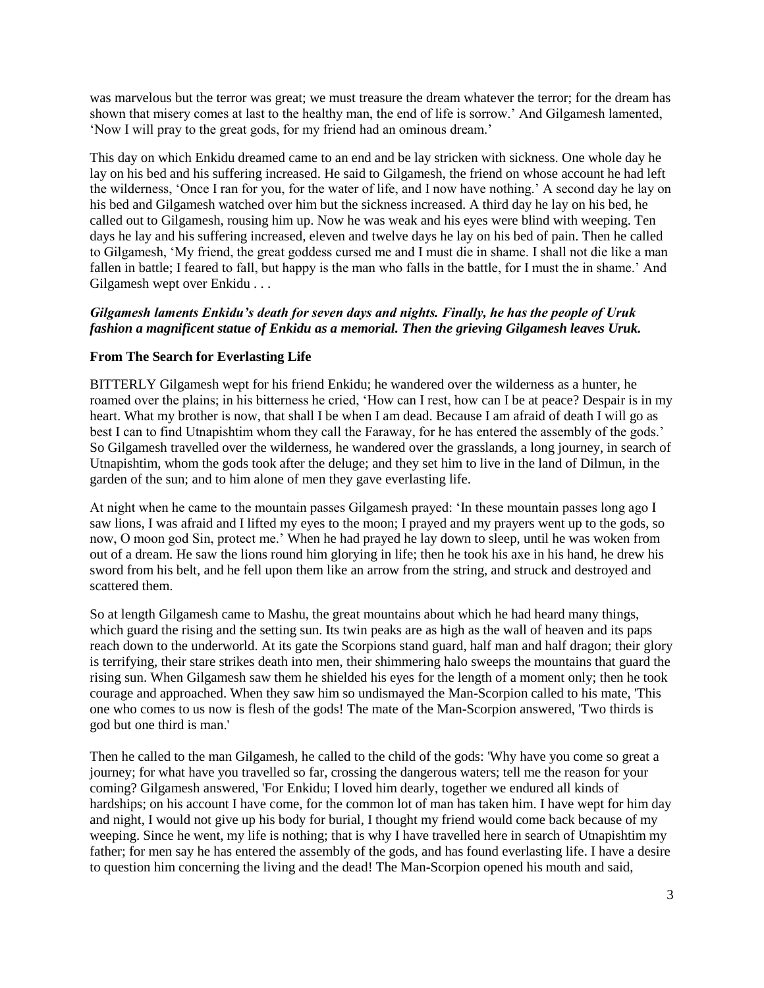was marvelous but the terror was great; we must treasure the dream whatever the terror; for the dream has shown that misery comes at last to the healthy man, the end of life is sorrow.' And Gilgamesh lamented, 'Now I will pray to the great gods, for my friend had an ominous dream.'

This day on which Enkidu dreamed came to an end and be lay stricken with sickness. One whole day he lay on his bed and his suffering increased. He said to Gilgamesh, the friend on whose account he had left the wilderness, 'Once I ran for you, for the water of life, and I now have nothing.' A second day he lay on his bed and Gilgamesh watched over him but the sickness increased. A third day he lay on his bed, he called out to Gilgamesh, rousing him up. Now he was weak and his eyes were blind with weeping. Ten days he lay and his suffering increased, eleven and twelve days he lay on his bed of pain. Then he called to Gilgamesh, 'My friend, the great goddess cursed me and I must die in shame. I shall not die like a man fallen in battle; I feared to fall, but happy is the man who falls in the battle, for I must the in shame.' And Gilgamesh wept over Enkidu . . .

# *Gilgamesh laments Enkidu's death for seven days and nights. Finally, he has the people of Uruk fashion a magnificent statue of Enkidu as a memorial. Then the grieving Gilgamesh leaves Uruk.*

# **From The Search for Everlasting Life**

BITTERLY Gilgamesh wept for his friend Enkidu; he wandered over the wilderness as a hunter, he roamed over the plains; in his bitterness he cried, 'How can I rest, how can I be at peace? Despair is in my heart. What my brother is now, that shall I be when I am dead. Because I am afraid of death I will go as best I can to find Utnapishtim whom they call the Faraway, for he has entered the assembly of the gods.' So Gilgamesh travelled over the wilderness, he wandered over the grasslands, a long journey, in search of Utnapishtim, whom the gods took after the deluge; and they set him to live in the land of Dilmun, in the garden of the sun; and to him alone of men they gave everlasting life.

At night when he came to the mountain passes Gilgamesh prayed: 'In these mountain passes long ago I saw lions, I was afraid and I lifted my eyes to the moon; I prayed and my prayers went up to the gods, so now, O moon god Sin, protect me.' When he had prayed he lay down to sleep, until he was woken from out of a dream. He saw the lions round him glorying in life; then he took his axe in his hand, he drew his sword from his belt, and he fell upon them like an arrow from the string, and struck and destroyed and scattered them.

So at length Gilgamesh came to Mashu, the great mountains about which he had heard many things, which guard the rising and the setting sun. Its twin peaks are as high as the wall of heaven and its paps reach down to the underworld. At its gate the Scorpions stand guard, half man and half dragon; their glory is terrifying, their stare strikes death into men, their shimmering halo sweeps the mountains that guard the rising sun. When Gilgamesh saw them he shielded his eyes for the length of a moment only; then he took courage and approached. When they saw him so undismayed the Man-Scorpion called to his mate, 'This one who comes to us now is flesh of the gods! The mate of the Man-Scorpion answered, 'Two thirds is god but one third is man.'

Then he called to the man Gilgamesh, he called to the child of the gods: 'Why have you come so great a journey; for what have you travelled so far, crossing the dangerous waters; tell me the reason for your coming? Gilgamesh answered, 'For Enkidu; I loved him dearly, together we endured all kinds of hardships; on his account I have come, for the common lot of man has taken him. I have wept for him day and night, I would not give up his body for burial, I thought my friend would come back because of my weeping. Since he went, my life is nothing; that is why I have travelled here in search of Utnapishtim my father; for men say he has entered the assembly of the gods, and has found everlasting life. I have a desire to question him concerning the living and the dead! The Man-Scorpion opened his mouth and said,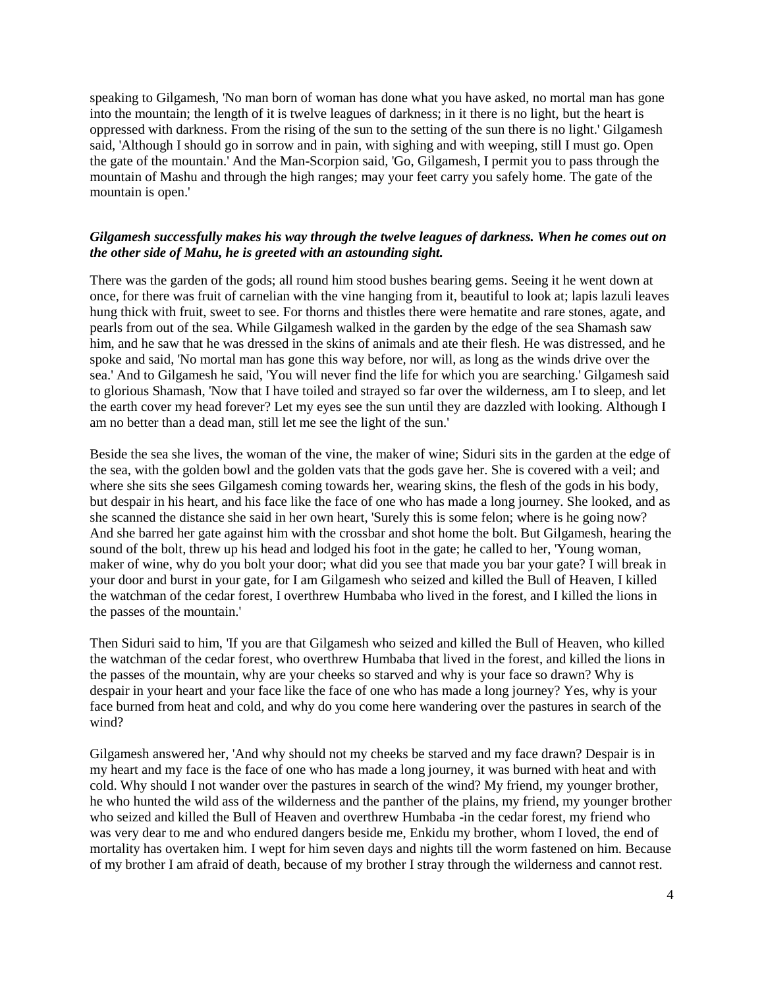speaking to Gilgamesh, 'No man born of woman has done what you have asked, no mortal man has gone into the mountain; the length of it is twelve leagues of darkness; in it there is no light, but the heart is oppressed with darkness. From the rising of the sun to the setting of the sun there is no light.' Gilgamesh said, 'Although I should go in sorrow and in pain, with sighing and with weeping, still I must go. Open the gate of the mountain.' And the Man-Scorpion said, 'Go, Gilgamesh, I permit you to pass through the mountain of Mashu and through the high ranges; may your feet carry you safely home. The gate of the mountain is open.'

# *Gilgamesh successfully makes his way through the twelve leagues of darkness. When he comes out on the other side of Mahu, he is greeted with an astounding sight.*

There was the garden of the gods; all round him stood bushes bearing gems. Seeing it he went down at once, for there was fruit of carnelian with the vine hanging from it, beautiful to look at; lapis lazuli leaves hung thick with fruit, sweet to see. For thorns and thistles there were hematite and rare stones, agate, and pearls from out of the sea. While Gilgamesh walked in the garden by the edge of the sea Shamash saw him, and he saw that he was dressed in the skins of animals and ate their flesh. He was distressed, and he spoke and said, 'No mortal man has gone this way before, nor will, as long as the winds drive over the sea.' And to Gilgamesh he said, 'You will never find the life for which you are searching.' Gilgamesh said to glorious Shamash, 'Now that I have toiled and strayed so far over the wilderness, am I to sleep, and let the earth cover my head forever? Let my eyes see the sun until they are dazzled with looking. Although I am no better than a dead man, still let me see the light of the sun.'

Beside the sea she lives, the woman of the vine, the maker of wine; Siduri sits in the garden at the edge of the sea, with the golden bowl and the golden vats that the gods gave her. She is covered with a veil; and where she sits she sees Gilgamesh coming towards her, wearing skins, the flesh of the gods in his body, but despair in his heart, and his face like the face of one who has made a long journey. She looked, and as she scanned the distance she said in her own heart, 'Surely this is some felon; where is he going now? And she barred her gate against him with the crossbar and shot home the bolt. But Gilgamesh, hearing the sound of the bolt, threw up his head and lodged his foot in the gate; he called to her, 'Young woman, maker of wine, why do you bolt your door; what did you see that made you bar your gate? I will break in your door and burst in your gate, for I am Gilgamesh who seized and killed the Bull of Heaven, I killed the watchman of the cedar forest, I overthrew Humbaba who lived in the forest, and I killed the lions in the passes of the mountain.'

Then Siduri said to him, 'If you are that Gilgamesh who seized and killed the Bull of Heaven, who killed the watchman of the cedar forest, who overthrew Humbaba that lived in the forest, and killed the lions in the passes of the mountain, why are your cheeks so starved and why is your face so drawn? Why is despair in your heart and your face like the face of one who has made a long journey? Yes, why is your face burned from heat and cold, and why do you come here wandering over the pastures in search of the wind?

Gilgamesh answered her, 'And why should not my cheeks be starved and my face drawn? Despair is in my heart and my face is the face of one who has made a long journey, it was burned with heat and with cold. Why should I not wander over the pastures in search of the wind? My friend, my younger brother, he who hunted the wild ass of the wilderness and the panther of the plains, my friend, my younger brother who seized and killed the Bull of Heaven and overthrew Humbaba -in the cedar forest, my friend who was very dear to me and who endured dangers beside me, Enkidu my brother, whom I loved, the end of mortality has overtaken him. I wept for him seven days and nights till the worm fastened on him. Because of my brother I am afraid of death, because of my brother I stray through the wilderness and cannot rest.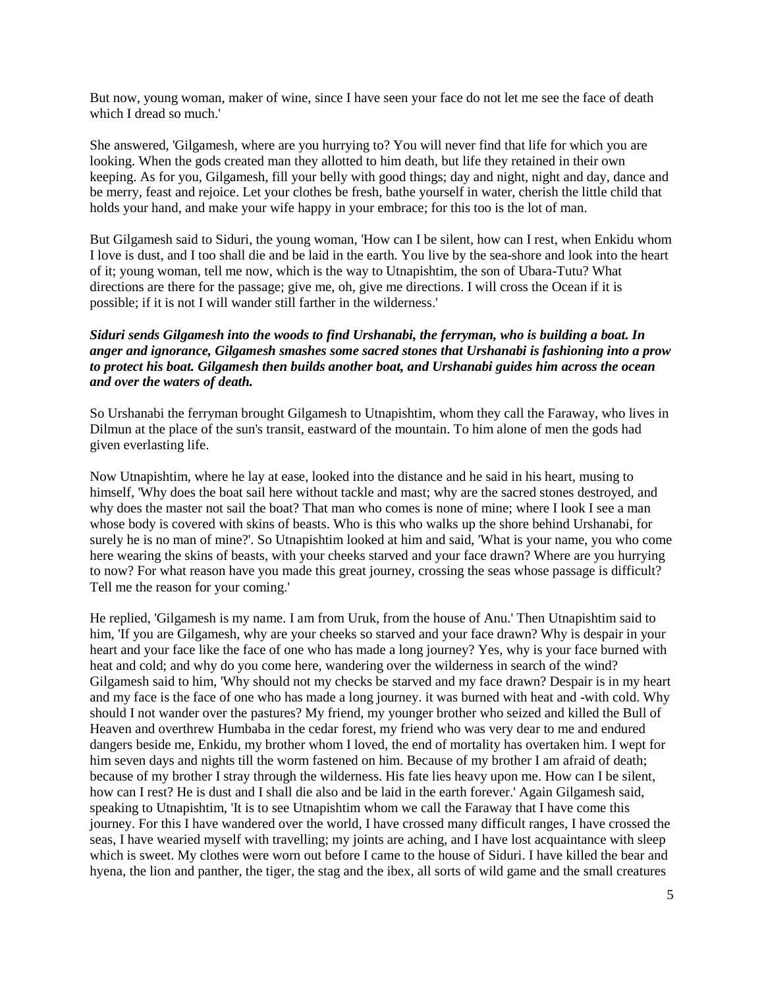But now, young woman, maker of wine, since I have seen your face do not let me see the face of death which I dread so much.'

She answered, 'Gilgamesh, where are you hurrying to? You will never find that life for which you are looking. When the gods created man they allotted to him death, but life they retained in their own keeping. As for you, Gilgamesh, fill your belly with good things; day and night, night and day, dance and be merry, feast and rejoice. Let your clothes be fresh, bathe yourself in water, cherish the little child that holds your hand, and make your wife happy in your embrace; for this too is the lot of man.

But Gilgamesh said to Siduri, the young woman, 'How can I be silent, how can I rest, when Enkidu whom I love is dust, and I too shall die and be laid in the earth. You live by the sea-shore and look into the heart of it; young woman, tell me now, which is the way to Utnapishtim, the son of Ubara-Tutu? What directions are there for the passage; give me, oh, give me directions. I will cross the Ocean if it is possible; if it is not I will wander still farther in the wilderness.'

### *Siduri sends Gilgamesh into the woods to find Urshanabi, the ferryman, who is building a boat. In anger and ignorance, Gilgamesh smashes some sacred stones that Urshanabi is fashioning into a prow to protect his boat. Gilgamesh then builds another boat, and Urshanabi guides him across the ocean and over the waters of death.*

So Urshanabi the ferryman brought Gilgamesh to Utnapishtim, whom they call the Faraway, who lives in Dilmun at the place of the sun's transit, eastward of the mountain. To him alone of men the gods had given everlasting life.

Now Utnapishtim, where he lay at ease, looked into the distance and he said in his heart, musing to himself, 'Why does the boat sail here without tackle and mast; why are the sacred stones destroyed, and why does the master not sail the boat? That man who comes is none of mine; where I look I see a man whose body is covered with skins of beasts. Who is this who walks up the shore behind Urshanabi, for surely he is no man of mine?'. So Utnapishtim looked at him and said, 'What is your name, you who come here wearing the skins of beasts, with your cheeks starved and your face drawn? Where are you hurrying to now? For what reason have you made this great journey, crossing the seas whose passage is difficult? Tell me the reason for your coming.'

He replied, 'Gilgamesh is my name. I am from Uruk, from the house of Anu.' Then Utnapishtim said to him, 'If you are Gilgamesh, why are your cheeks so starved and your face drawn? Why is despair in your heart and your face like the face of one who has made a long journey? Yes, why is your face burned with heat and cold; and why do you come here, wandering over the wilderness in search of the wind? Gilgamesh said to him, 'Why should not my checks be starved and my face drawn? Despair is in my heart and my face is the face of one who has made a long journey. it was burned with heat and -with cold. Why should I not wander over the pastures? My friend, my younger brother who seized and killed the Bull of Heaven and overthrew Humbaba in the cedar forest, my friend who was very dear to me and endured dangers beside me, Enkidu, my brother whom I loved, the end of mortality has overtaken him. I wept for him seven days and nights till the worm fastened on him. Because of my brother I am afraid of death; because of my brother I stray through the wilderness. His fate lies heavy upon me. How can I be silent, how can I rest? He is dust and I shall die also and be laid in the earth forever.' Again Gilgamesh said, speaking to Utnapishtim, 'It is to see Utnapishtim whom we call the Faraway that I have come this journey. For this I have wandered over the world, I have crossed many difficult ranges, I have crossed the seas, I have wearied myself with travelling; my joints are aching, and I have lost acquaintance with sleep which is sweet. My clothes were worn out before I came to the house of Siduri. I have killed the bear and hyena, the lion and panther, the tiger, the stag and the ibex, all sorts of wild game and the small creatures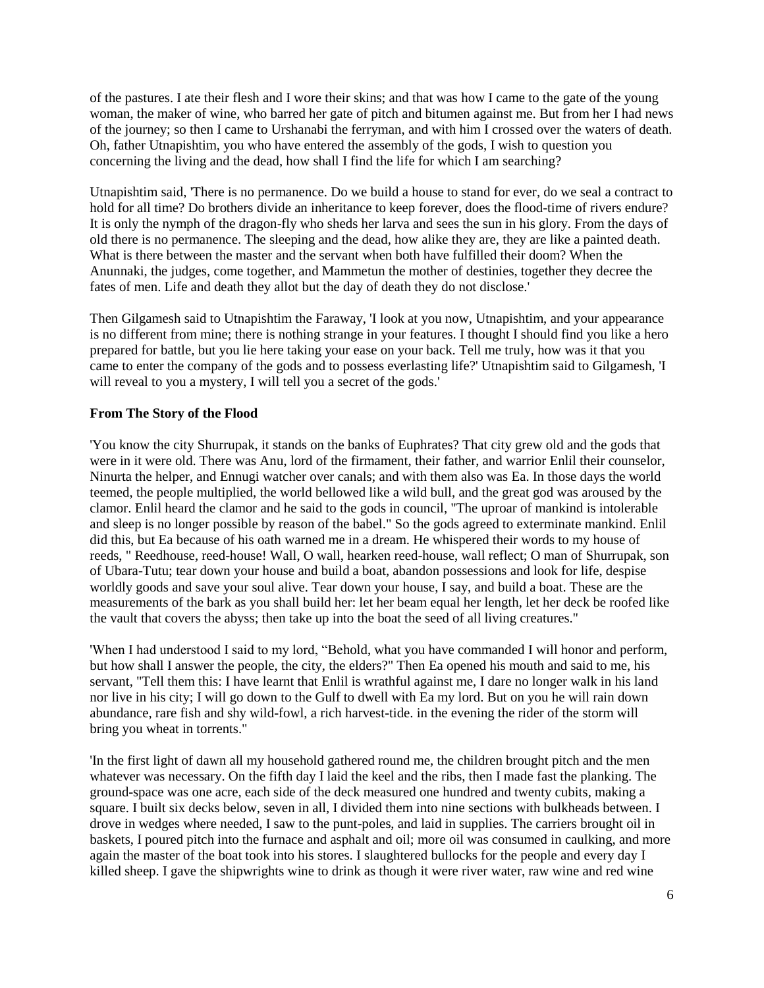of the pastures. I ate their flesh and I wore their skins; and that was how I came to the gate of the young woman, the maker of wine, who barred her gate of pitch and bitumen against me. But from her I had news of the journey; so then I came to Urshanabi the ferryman, and with him I crossed over the waters of death. Oh, father Utnapishtim, you who have entered the assembly of the gods, I wish to question you concerning the living and the dead, how shall I find the life for which I am searching?

Utnapishtim said, 'There is no permanence. Do we build a house to stand for ever, do we seal a contract to hold for all time? Do brothers divide an inheritance to keep forever, does the flood-time of rivers endure? It is only the nymph of the dragon-fly who sheds her larva and sees the sun in his glory. From the days of old there is no permanence. The sleeping and the dead, how alike they are, they are like a painted death. What is there between the master and the servant when both have fulfilled their doom? When the Anunnaki, the judges, come together, and Mammetun the mother of destinies, together they decree the fates of men. Life and death they allot but the day of death they do not disclose.'

Then Gilgamesh said to Utnapishtim the Faraway, 'I look at you now, Utnapishtim, and your appearance is no different from mine; there is nothing strange in your features. I thought I should find you like a hero prepared for battle, but you lie here taking your ease on your back. Tell me truly, how was it that you came to enter the company of the gods and to possess everlasting life?' Utnapishtim said to Gilgamesh, 'I will reveal to you a mystery, I will tell you a secret of the gods.'

### **From The Story of the Flood**

'You know the city Shurrupak, it stands on the banks of Euphrates? That city grew old and the gods that were in it were old. There was Anu, lord of the firmament, their father, and warrior Enlil their counselor, Ninurta the helper, and Ennugi watcher over canals; and with them also was Ea. In those days the world teemed, the people multiplied, the world bellowed like a wild bull, and the great god was aroused by the clamor. Enlil heard the clamor and he said to the gods in council, "The uproar of mankind is intolerable and sleep is no longer possible by reason of the babel." So the gods agreed to exterminate mankind. Enlil did this, but Ea because of his oath warned me in a dream. He whispered their words to my house of reeds, " Reedhouse, reed-house! Wall, O wall, hearken reed-house, wall reflect; O man of Shurrupak, son of Ubara-Tutu; tear down your house and build a boat, abandon possessions and look for life, despise worldly goods and save your soul alive. Tear down your house, I say, and build a boat. These are the measurements of the bark as you shall build her: let her beam equal her length, let her deck be roofed like the vault that covers the abyss; then take up into the boat the seed of all living creatures."

'When I had understood I said to my lord, "Behold, what you have commanded I will honor and perform, but how shall I answer the people, the city, the elders?" Then Ea opened his mouth and said to me, his servant, "Tell them this: I have learnt that Enlil is wrathful against me, I dare no longer walk in his land nor live in his city; I will go down to the Gulf to dwell with Ea my lord. But on you he will rain down abundance, rare fish and shy wild-fowl, a rich harvest-tide. in the evening the rider of the storm will bring you wheat in torrents."

'In the first light of dawn all my household gathered round me, the children brought pitch and the men whatever was necessary. On the fifth day I laid the keel and the ribs, then I made fast the planking. The ground-space was one acre, each side of the deck measured one hundred and twenty cubits, making a square. I built six decks below, seven in all, I divided them into nine sections with bulkheads between. I drove in wedges where needed, I saw to the punt-poles, and laid in supplies. The carriers brought oil in baskets, I poured pitch into the furnace and asphalt and oil; more oil was consumed in caulking, and more again the master of the boat took into his stores. I slaughtered bullocks for the people and every day I killed sheep. I gave the shipwrights wine to drink as though it were river water, raw wine and red wine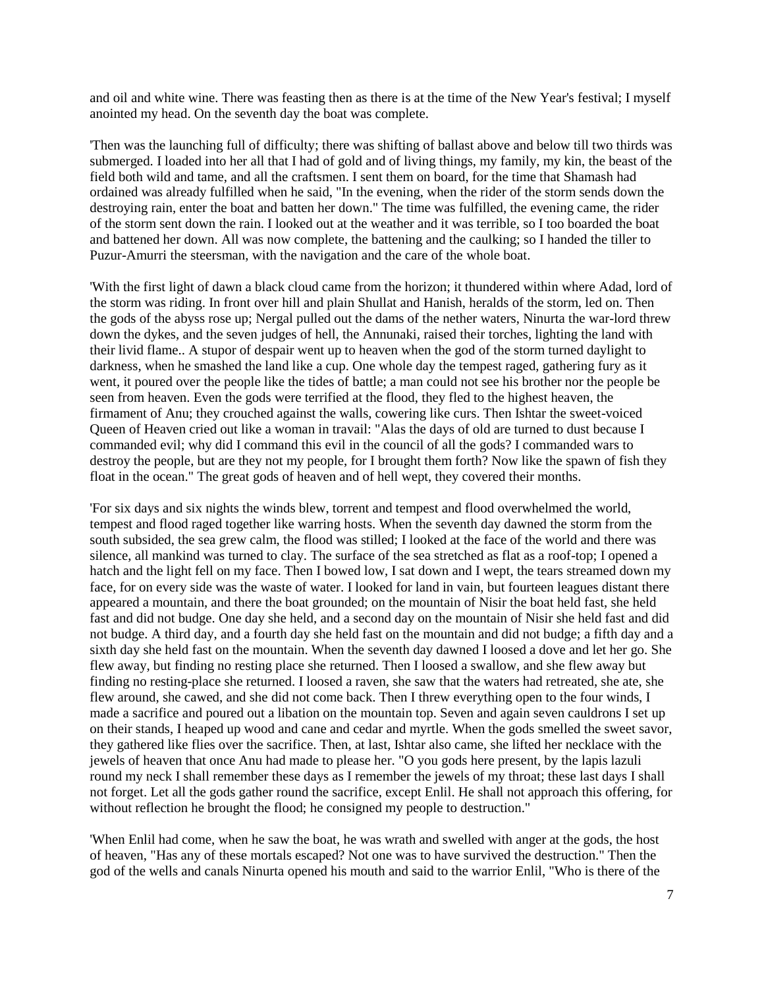and oil and white wine. There was feasting then as there is at the time of the New Year's festival; I myself anointed my head. On the seventh day the boat was complete.

'Then was the launching full of difficulty; there was shifting of ballast above and below till two thirds was submerged. I loaded into her all that I had of gold and of living things, my family, my kin, the beast of the field both wild and tame, and all the craftsmen. I sent them on board, for the time that Shamash had ordained was already fulfilled when he said, "In the evening, when the rider of the storm sends down the destroying rain, enter the boat and batten her down." The time was fulfilled, the evening came, the rider of the storm sent down the rain. I looked out at the weather and it was terrible, so I too boarded the boat and battened her down. All was now complete, the battening and the caulking; so I handed the tiller to Puzur-Amurri the steersman, with the navigation and the care of the whole boat.

'With the first light of dawn a black cloud came from the horizon; it thundered within where Adad, lord of the storm was riding. In front over hill and plain Shullat and Hanish, heralds of the storm, led on. Then the gods of the abyss rose up; Nergal pulled out the dams of the nether waters, Ninurta the war-lord threw down the dykes, and the seven judges of hell, the Annunaki, raised their torches, lighting the land with their livid flame.. A stupor of despair went up to heaven when the god of the storm turned daylight to darkness, when he smashed the land like a cup. One whole day the tempest raged, gathering fury as it went, it poured over the people like the tides of battle; a man could not see his brother nor the people be seen from heaven. Even the gods were terrified at the flood, they fled to the highest heaven, the firmament of Anu; they crouched against the walls, cowering like curs. Then Ishtar the sweet-voiced Queen of Heaven cried out like a woman in travail: "Alas the days of old are turned to dust because I commanded evil; why did I command this evil in the council of all the gods? I commanded wars to destroy the people, but are they not my people, for I brought them forth? Now like the spawn of fish they float in the ocean." The great gods of heaven and of hell wept, they covered their months.

'For six days and six nights the winds blew, torrent and tempest and flood overwhelmed the world, tempest and flood raged together like warring hosts. When the seventh day dawned the storm from the south subsided, the sea grew calm, the flood was stilled; I looked at the face of the world and there was silence, all mankind was turned to clay. The surface of the sea stretched as flat as a roof-top; I opened a hatch and the light fell on my face. Then I bowed low, I sat down and I wept, the tears streamed down my face, for on every side was the waste of water. I looked for land in vain, but fourteen leagues distant there appeared a mountain, and there the boat grounded; on the mountain of Nisir the boat held fast, she held fast and did not budge. One day she held, and a second day on the mountain of Nisir she held fast and did not budge. A third day, and a fourth day she held fast on the mountain and did not budge; a fifth day and a sixth day she held fast on the mountain. When the seventh day dawned I loosed a dove and let her go. She flew away, but finding no resting place she returned. Then I loosed a swallow, and she flew away but finding no resting-place she returned. I loosed a raven, she saw that the waters had retreated, she ate, she flew around, she cawed, and she did not come back. Then I threw everything open to the four winds, I made a sacrifice and poured out a libation on the mountain top. Seven and again seven cauldrons I set up on their stands, I heaped up wood and cane and cedar and myrtle. When the gods smelled the sweet savor, they gathered like flies over the sacrifice. Then, at last, Ishtar also came, she lifted her necklace with the jewels of heaven that once Anu had made to please her. "O you gods here present, by the lapis lazuli round my neck I shall remember these days as I remember the jewels of my throat; these last days I shall not forget. Let all the gods gather round the sacrifice, except Enlil. He shall not approach this offering, for without reflection he brought the flood; he consigned my people to destruction."

'When Enlil had come, when he saw the boat, he was wrath and swelled with anger at the gods, the host of heaven, "Has any of these mortals escaped? Not one was to have survived the destruction." Then the god of the wells and canals Ninurta opened his mouth and said to the warrior Enlil, "Who is there of the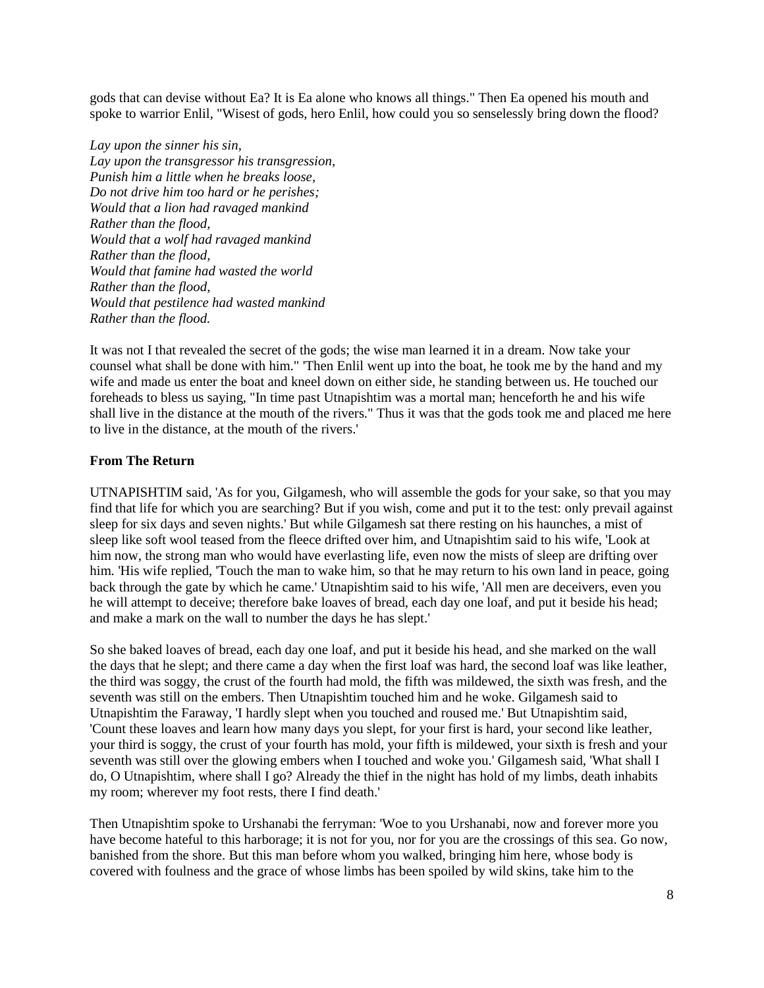gods that can devise without Ea? It is Ea alone who knows all things." Then Ea opened his mouth and spoke to warrior Enlil, "Wisest of gods, hero Enlil, how could you so senselessly bring down the flood?

*Lay upon the sinner his sin, Lay upon the transgressor his transgression, Punish him a little when he breaks loose, Do not drive him too hard or he perishes; Would that a lion had ravaged mankind Rather than the flood, Would that a wolf had ravaged mankind Rather than the flood, Would that famine had wasted the world Rather than the flood, Would that pestilence had wasted mankind Rather than the flood.*

It was not I that revealed the secret of the gods; the wise man learned it in a dream. Now take your counsel what shall be done with him." 'Then Enlil went up into the boat, he took me by the hand and my wife and made us enter the boat and kneel down on either side, he standing between us. He touched our foreheads to bless us saying, "In time past Utnapishtim was a mortal man; henceforth he and his wife shall live in the distance at the mouth of the rivers." Thus it was that the gods took me and placed me here to live in the distance, at the mouth of the rivers.'

### **From The Return**

UTNAPISHTIM said, 'As for you, Gilgamesh, who will assemble the gods for your sake, so that you may find that life for which you are searching? But if you wish, come and put it to the test: only prevail against sleep for six days and seven nights.' But while Gilgamesh sat there resting on his haunches, a mist of sleep like soft wool teased from the fleece drifted over him, and Utnapishtim said to his wife, 'Look at him now, the strong man who would have everlasting life, even now the mists of sleep are drifting over him. 'His wife replied, 'Touch the man to wake him, so that he may return to his own land in peace, going back through the gate by which he came.' Utnapishtim said to his wife, 'All men are deceivers, even you he will attempt to deceive; therefore bake loaves of bread, each day one loaf, and put it beside his head; and make a mark on the wall to number the days he has slept.'

So she baked loaves of bread, each day one loaf, and put it beside his head, and she marked on the wall the days that he slept; and there came a day when the first loaf was hard, the second loaf was like leather, the third was soggy, the crust of the fourth had mold, the fifth was mildewed, the sixth was fresh, and the seventh was still on the embers. Then Utnapishtim touched him and he woke. Gilgamesh said to Utnapishtim the Faraway, 'I hardly slept when you touched and roused me.' But Utnapishtim said, 'Count these loaves and learn how many days you slept, for your first is hard, your second like leather, your third is soggy, the crust of your fourth has mold, your fifth is mildewed, your sixth is fresh and your seventh was still over the glowing embers when I touched and woke you.' Gilgamesh said, 'What shall I do, O Utnapishtim, where shall I go? Already the thief in the night has hold of my limbs, death inhabits my room; wherever my foot rests, there I find death.'

Then Utnapishtim spoke to Urshanabi the ferryman: 'Woe to you Urshanabi, now and forever more you have become hateful to this harborage; it is not for you, nor for you are the crossings of this sea. Go now, banished from the shore. But this man before whom you walked, bringing him here, whose body is covered with foulness and the grace of whose limbs has been spoiled by wild skins, take him to the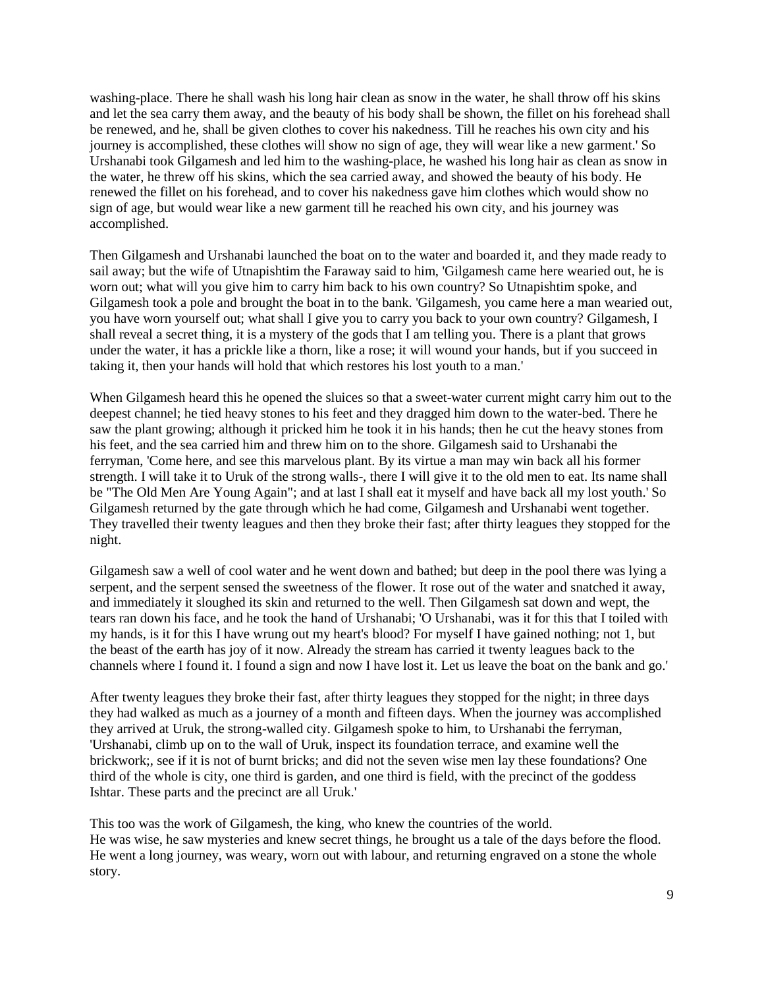washing-place. There he shall wash his long hair clean as snow in the water, he shall throw off his skins and let the sea carry them away, and the beauty of his body shall be shown, the fillet on his forehead shall be renewed, and he, shall be given clothes to cover his nakedness. Till he reaches his own city and his journey is accomplished, these clothes will show no sign of age, they will wear like a new garment.' So Urshanabi took Gilgamesh and led him to the washing-place, he washed his long hair as clean as snow in the water, he threw off his skins, which the sea carried away, and showed the beauty of his body. He renewed the fillet on his forehead, and to cover his nakedness gave him clothes which would show no sign of age, but would wear like a new garment till he reached his own city, and his journey was accomplished.

Then Gilgamesh and Urshanabi launched the boat on to the water and boarded it, and they made ready to sail away; but the wife of Utnapishtim the Faraway said to him, 'Gilgamesh came here wearied out, he is worn out; what will you give him to carry him back to his own country? So Utnapishtim spoke, and Gilgamesh took a pole and brought the boat in to the bank. 'Gilgamesh, you came here a man wearied out, you have worn yourself out; what shall I give you to carry you back to your own country? Gilgamesh, I shall reveal a secret thing, it is a mystery of the gods that I am telling you. There is a plant that grows under the water, it has a prickle like a thorn, like a rose; it will wound your hands, but if you succeed in taking it, then your hands will hold that which restores his lost youth to a man.'

When Gilgamesh heard this he opened the sluices so that a sweet-water current might carry him out to the deepest channel; he tied heavy stones to his feet and they dragged him down to the water-bed. There he saw the plant growing; although it pricked him he took it in his hands; then he cut the heavy stones from his feet, and the sea carried him and threw him on to the shore. Gilgamesh said to Urshanabi the ferryman, 'Come here, and see this marvelous plant. By its virtue a man may win back all his former strength. I will take it to Uruk of the strong walls-, there I will give it to the old men to eat. Its name shall be "The Old Men Are Young Again"; and at last I shall eat it myself and have back all my lost youth.' So Gilgamesh returned by the gate through which he had come, Gilgamesh and Urshanabi went together. They travelled their twenty leagues and then they broke their fast; after thirty leagues they stopped for the night.

Gilgamesh saw a well of cool water and he went down and bathed; but deep in the pool there was lying a serpent, and the serpent sensed the sweetness of the flower. It rose out of the water and snatched it away, and immediately it sloughed its skin and returned to the well. Then Gilgamesh sat down and wept, the tears ran down his face, and he took the hand of Urshanabi; 'O Urshanabi, was it for this that I toiled with my hands, is it for this I have wrung out my heart's blood? For myself I have gained nothing; not 1, but the beast of the earth has joy of it now. Already the stream has carried it twenty leagues back to the channels where I found it. I found a sign and now I have lost it. Let us leave the boat on the bank and go.'

After twenty leagues they broke their fast, after thirty leagues they stopped for the night; in three days they had walked as much as a journey of a month and fifteen days. When the journey was accomplished they arrived at Uruk, the strong-walled city. Gilgamesh spoke to him, to Urshanabi the ferryman, 'Urshanabi, climb up on to the wall of Uruk, inspect its foundation terrace, and examine well the brickwork;, see if it is not of burnt bricks; and did not the seven wise men lay these foundations? One third of the whole is city, one third is garden, and one third is field, with the precinct of the goddess Ishtar. These parts and the precinct are all Uruk.'

This too was the work of Gilgamesh, the king, who knew the countries of the world. He was wise, he saw mysteries and knew secret things, he brought us a tale of the days before the flood. He went a long journey, was weary, worn out with labour, and returning engraved on a stone the whole story.